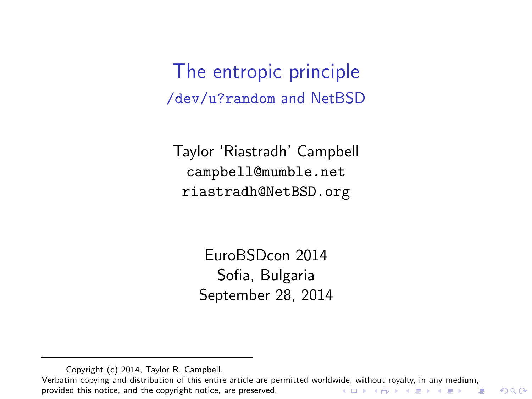The entropic principle /dev/u?random and NetBSD

Taylor 'Riastradh' Campbell campbell@mumble.net riastradh@NetBSD.org

> EuroBSDcon 2014 Sofia, Bulgaria September 28, 2014

Copyright (c) 2014, Taylor R. Campbell.

<span id="page-0-0"></span>Verbatim copying and distribution of this entire article are permitted worldw[ide,](#page-0-0) [with](#page-1-0)[out r](#page-0-0)[oya](#page-1-0)[lty,](#page-0-0) [in a](#page-24-0)[ny m](#page-0-0)[edi](#page-24-0)[um,](#page-0-0)<br>provided this notice, and the copyright notice, are preserved. provided this notice, and the copyright notice, are preserved.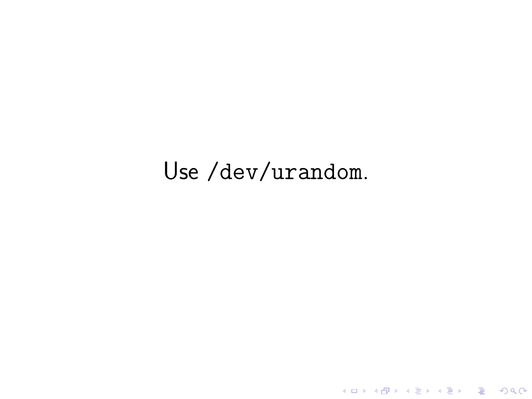# <span id="page-1-0"></span>Use /dev/urandom.

K ロ ▶ K @ ▶ K 할 ▶ K 할 ▶ | 할 | ⊙Q @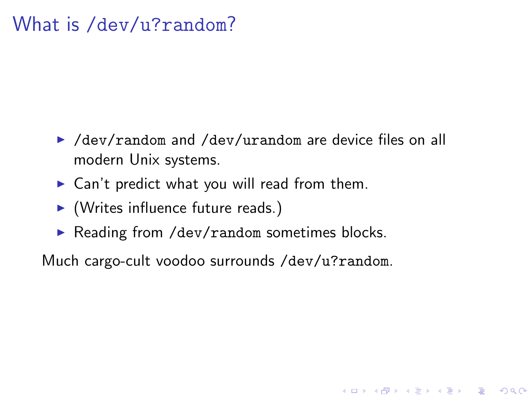### What is /dev/u?random?

▶ /dev/random and /dev/urandom are device files on all modern Unix systems.

**K ロ ▶ K @ ▶ K 할 X X 할 X → 할 X → 9 Q Q ^** 

- $\triangleright$  Can't predict what you will read from them.
- $\blacktriangleright$  (Writes influence future reads.)
- $\triangleright$  Reading from /dev/random sometimes blocks.

Much cargo-cult voodoo surrounds /dev/u?random.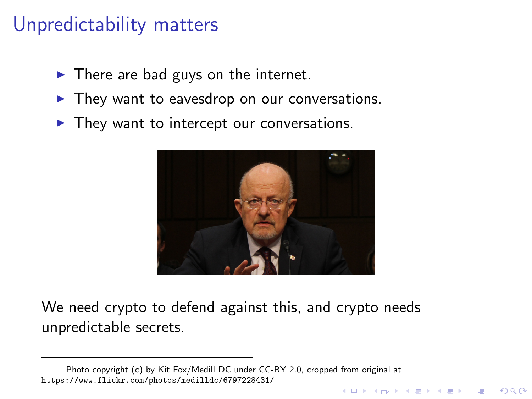## Unpredictability matters

- $\blacktriangleright$  There are bad guys on the internet.
- $\blacktriangleright$  They want to eavesdrop on our conversations.
- $\blacktriangleright$  They want to intercept our conversations.



We need crypto to defend against this, and crypto needs unpredictable secrets.

Photo copyright (c) by Kit Fox/Medill DC under CC-BY 2.0, cropped from original at <https://www.flickr.com/photos/medilldc/6797228431/>**KORKA SERKER ORA**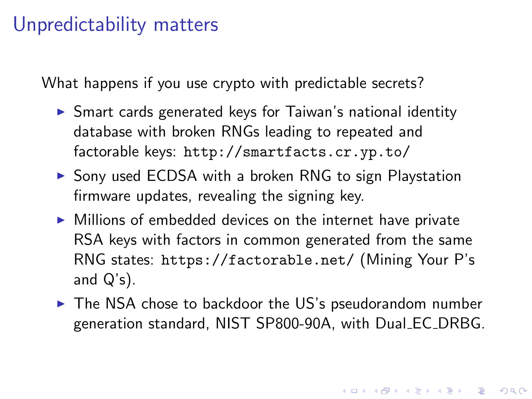#### Unpredictability matters

What happens if you use crypto with predictable secrets?

- $\triangleright$  Smart cards generated keys for Taiwan's national identity database with broken RNGs leading to repeated and factorable keys: <http://smartfacts.cr.yp.to/>
- $\triangleright$  Sony used ECDSA with a broken RNG to sign Playstation firmware updates, revealing the signing key.
- $\triangleright$  Millions of embedded devices on the internet have private RSA keys with factors in common generated from the same RNG states: <https://factorable.net/> (Mining Your P's and  $Q's$ ).
- $\triangleright$  The NSA chose to backdoor the US's pseudorandom number generation standard, NIST SP800-90A, with Dual EC DRBG.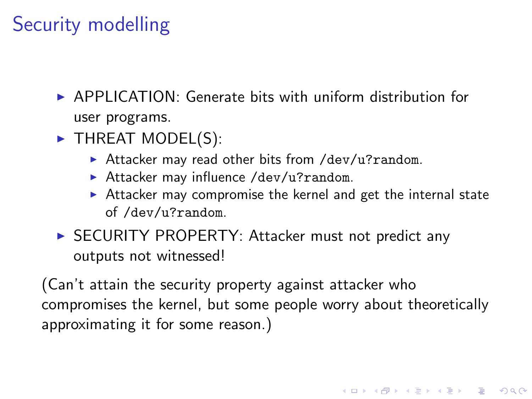# Security modelling

- $\triangleright$  APPI ICATION: Generate bits with uniform distribution for user programs.
- $\blacktriangleright$  THREAT MODEL(S):
	- $\blacktriangleright$  Attacker may read other bits from /dev/u?random.
	- Attacker may influence /dev/u?random.
	- $\triangleright$  Attacker may compromise the kernel and get the internal state of /dev/u?random.

4 D > 4 P + 4 B + 4 B + B + 9 Q O

▶ SECURITY PROPERTY: Attacker must not predict any outputs not witnessed!

(Can't attain the security property against attacker who compromises the kernel, but some people worry about theoretically approximating it for some reason.)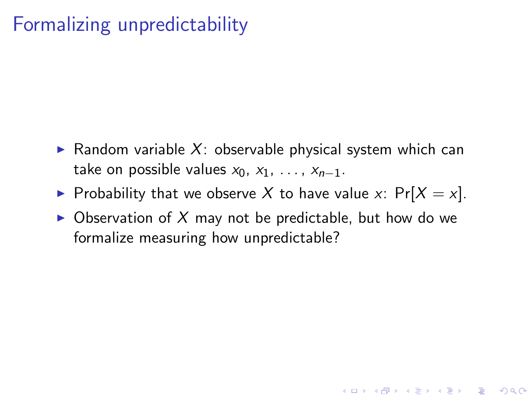## Formalizing unpredictability

- $\triangleright$  Random variable X: observable physical system which can take on possible values  $x_0, x_1, \ldots, x_{n-1}$ .
- Probability that we observe X to have value x:  $Pr[X = x]$ .
- $\triangleright$  Observation of X may not be predictable, but how do we formalize measuring how unpredictable?

**K ロ ▶ K @ ▶ K 할 X X 할 X → 할 X → 9 Q Q ^**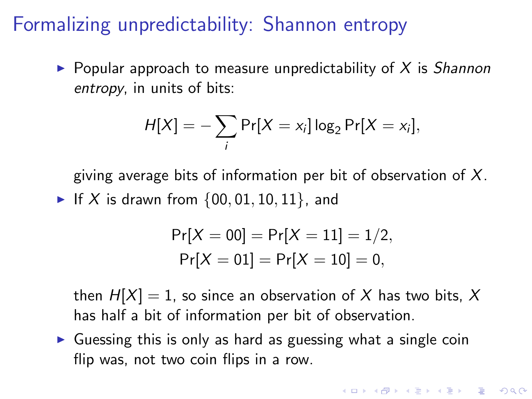## Formalizing unpredictability: Shannon entropy

 $\triangleright$  Popular approach to measure unpredictability of X is Shannon entropy, in units of bits:

$$
H[X] = -\sum_i \Pr[X = x_i] \log_2 \Pr[X = x_i],
$$

giving average bits of information per bit of observation of  $X$ . If X is drawn from  $\{00, 01, 10, 11\}$ , and

$$
Pr[X = 00] = Pr[X = 11] = 1/2,
$$
  
Pr[X = 01] = Pr[X = 10] = 0,

then  $H[X] = 1$ , so since an observation of X has two bits, X has half a bit of information per bit of observation.

4 D > 4 P + 4 B + 4 B + B + 9 Q O

 $\triangleright$  Guessing this is only as hard as guessing what a single coin flip was, not two coin flips in a row.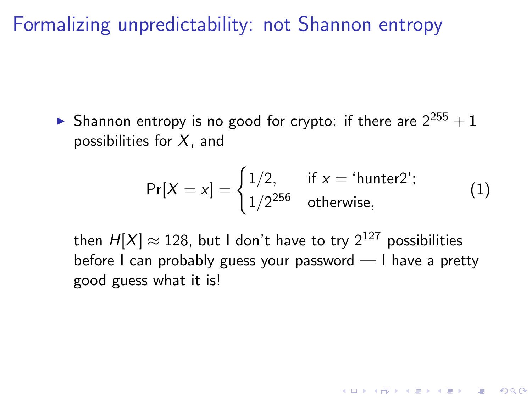Formalizing unpredictability: not Shannon entropy

**In** Shannon entropy is no good for crypto: if there are  $2^{255} + 1$ possibilities for  $X$ , and

$$
Pr[X = x] = \begin{cases} 1/2, & \text{if } x = \text{'hunter2'}; \\ 1/2^{256} & \text{otherwise,} \end{cases}
$$
 (1)

4 D > 4 P + 4 B + 4 B + B + 9 Q O

then  $H[X] \approx 128$ , but I don't have to try  $2^{127}$  possibilities before I can probably guess your password — I have a pretty good guess what it is!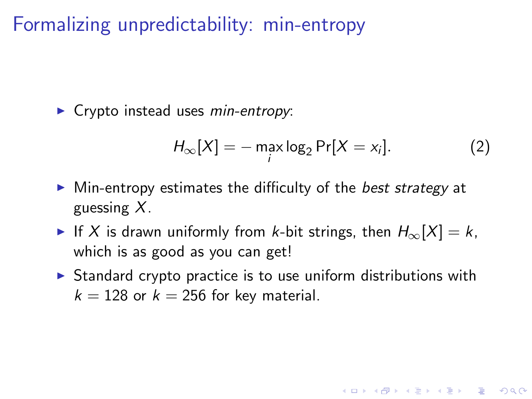Formalizing unpredictability: min-entropy

 $\triangleright$  Crypto instead uses min-entropy:

$$
H_{\infty}[X] = -\max_{i} \log_2 \Pr[X = x_i]. \tag{2}
$$

**KORK ERKER ADE YOUR** 

- $\triangleright$  Min-entropy estimates the difficulty of the *best strategy* at guessing  $X$ .
- If X is drawn uniformly from k-bit strings, then  $H_{\infty}[X] = k$ , which is as good as you can get!
- $\triangleright$  Standard crypto practice is to use uniform distributions with  $k = 128$  or  $k = 256$  for key material.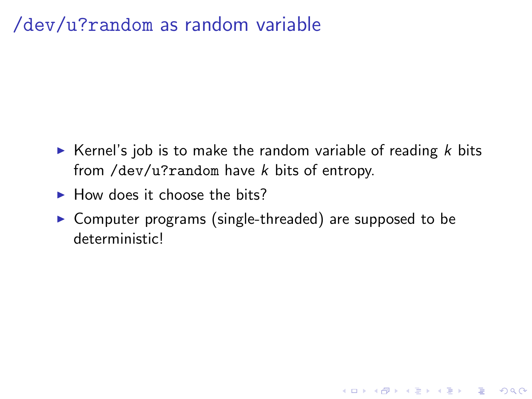### /dev/u?random as random variable

- Extemble Kernel's job is to make the random variable of reading  $k$  bits from /dev/u?random have  $k$  bits of entropy.
- $\blacktriangleright$  How does it choose the bits?
- $\triangleright$  Computer programs (single-threaded) are supposed to be deterministic!

**KORKA SERKER ORA**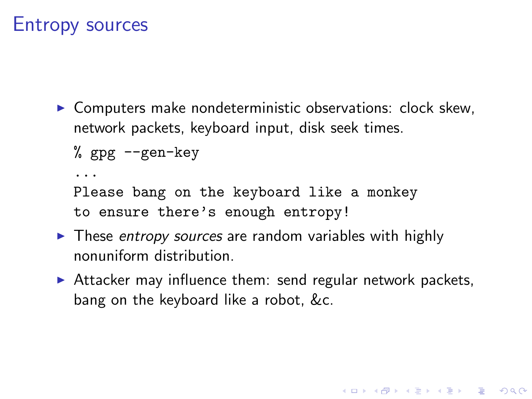#### Entropy sources

 $\triangleright$  Computers make nondeterministic observations: clock skew, network packets, keyboard input, disk seek times.

% gpg --gen-key

...

Please bang on the keyboard like a monkey to ensure there's enough entropy!

- $\triangleright$  These entropy sources are random variables with highly nonuniform distribution.
- $\triangleright$  Attacker may influence them: send regular network packets, bang on the keyboard like a robot, &c.

4 D > 4 P + 4 B + 4 B + B + 9 Q O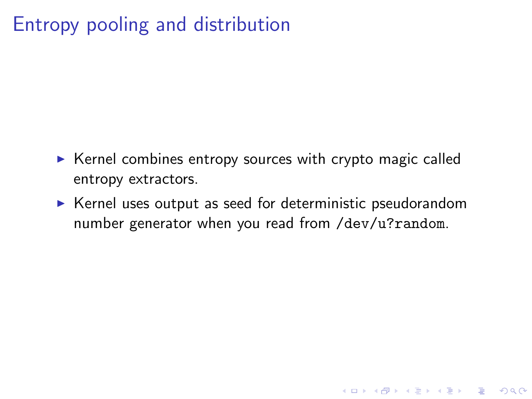## Entropy pooling and distribution

- $\triangleright$  Kernel combines entropy sources with crypto magic called entropy extractors.
- $\triangleright$  Kernel uses output as seed for deterministic pseudorandom number generator when you read from /dev/u?random.

K ロ ▶ K @ ▶ K 할 > K 할 > 1 할 > 1 이익어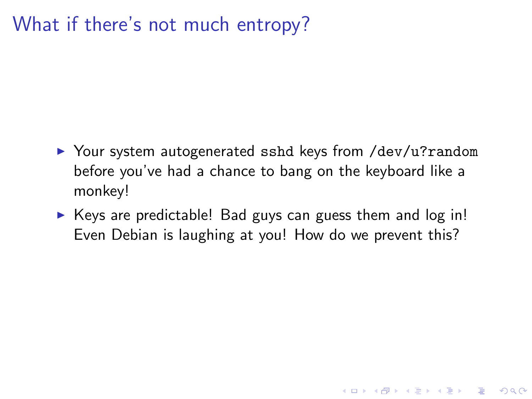## What if there's not much entropy?

- ▶ Your system autogenerated sshd keys from /dev/u?random before you've had a chance to bang on the keyboard like a monkey!
- $\triangleright$  Keys are predictable! Bad guys can guess them and log in! Even Debian is laughing at you! How do we prevent this?

**K ロ ▶ K @ ▶ K 할 X X 할 X → 할 X → 9 Q Q ^**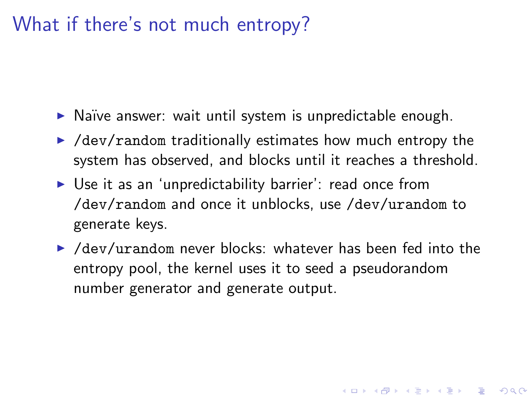#### What if there's not much entropy?

- $\triangleright$  Naïve answer: wait until system is unpredictable enough.
- $\blacktriangleright$  /dev/random traditionally estimates how much entropy the system has observed, and blocks until it reaches a threshold.
- $\triangleright$  Use it as an 'unpredictability barrier': read once from /dev/random and once it unblocks, use /dev/urandom to generate keys.
- $\blacktriangleright$  /dev/urandom never blocks: whatever has been fed into the entropy pool, the kernel uses it to seed a pseudorandom number generator and generate output.

**KORK ERKER ADE YOUR**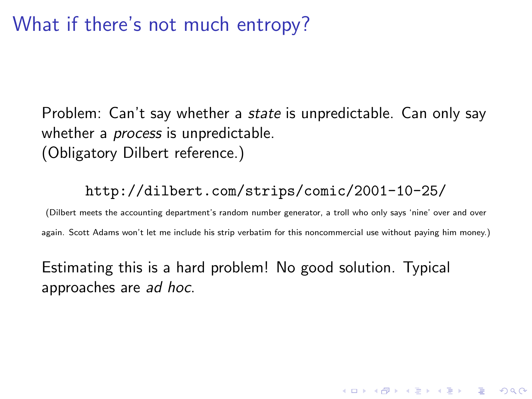#### What if there's not much entropy?

Problem: Can't say whether a *state* is unpredictable. Can only say whether a *process* is unpredictable. (Obligatory Dilbert reference.)

#### http://dilbert.com/strips/comic/2001-10-25/

(Dilbert meets the accounting department's random number generator, a troll who only says 'nine' over and over again. Scott Adams won't let me include his strip verbatim for this noncommercial use without paying him money.)

**KORKAR KERKER EL VOLO** 

Estimating this is a hard problem! No good solution. Typical approaches are ad hoc.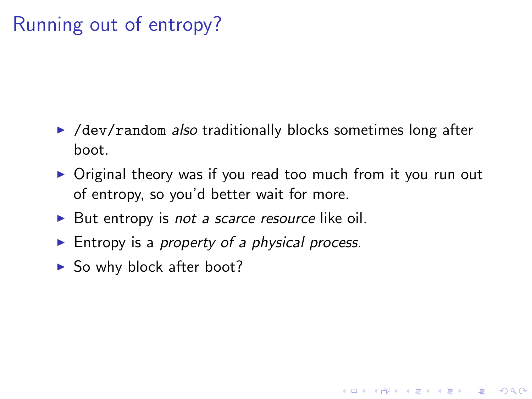## Running out of entropy?

- $\blacktriangleright$  /dev/random *also* traditionally blocks sometimes long after boot.
- $\triangleright$  Original theory was if you read too much from it you run out of entropy, so you'd better wait for more.

**KORK ERKER ADE YOUR** 

- $\triangleright$  But entropy is *not a scarce resource* like oil.
- Entropy is a property of a physical process.
- $\blacktriangleright$  So why block after boot?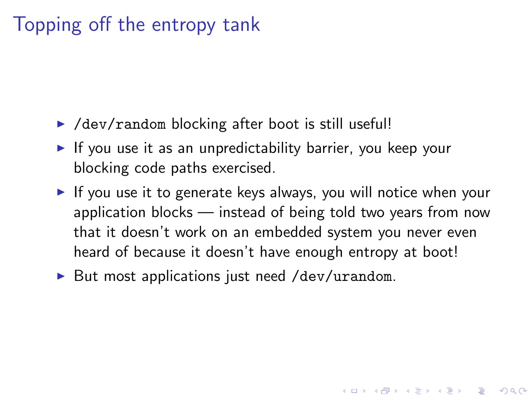## Topping off the entropy tank

- $\blacktriangleright$  /dev/random blocking after boot is still useful!
- If you use it as an unpredictability barrier, you keep your blocking code paths exercised.
- If you use it to generate keys always, you will notice when your application blocks — instead of being told two years from now that it doesn't work on an embedded system you never even heard of because it doesn't have enough entropy at boot!

4 D > 4 P + 4 B + 4 B + B + 9 Q O

 $\triangleright$  But most applications just need /dev/urandom.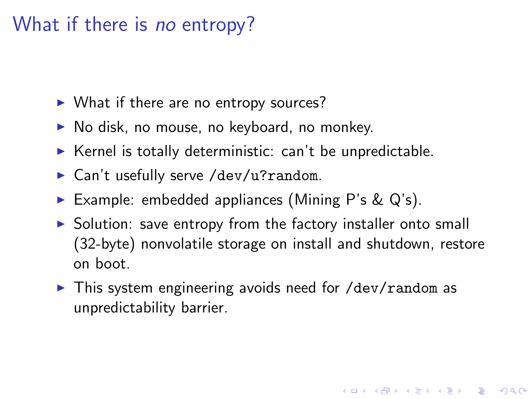## What if there is no entropy?

- $\triangleright$  What if there are no entropy sources?
- $\triangleright$  No disk, no mouse, no keyboard, no monkey.
- $\triangleright$  Kernel is totally deterministic: can't be unpredictable.
- $\triangleright$  Can't usefully serve /dev/u?random.
- Example: embedded appliances (Mining P's  $\&$  Q's).
- $\triangleright$  Solution: save entropy from the factory installer onto small (32-byte) nonvolatile storage on install and shutdown, restore on boot.

**KORK ERKER ADE YOUR** 

 $\triangleright$  This system engineering avoids need for /dev/random as unpredictability barrier.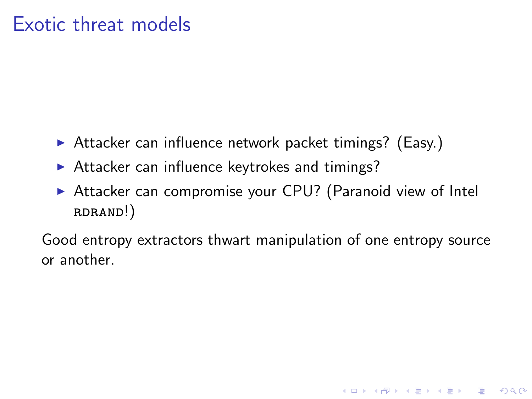#### Exotic threat models

- $\triangleright$  Attacker can influence network packet timings? (Easy.)
- $\triangleright$  Attacker can influence keytrokes and timings?
- $\triangleright$  Attacker can compromise your CPU? (Paranoid view of Intel rdrand!)

Good entropy extractors thwart manipulation of one entropy source or another.

K ロ ▶ K @ ▶ K 할 > K 할 > 1 할 > 1 이익어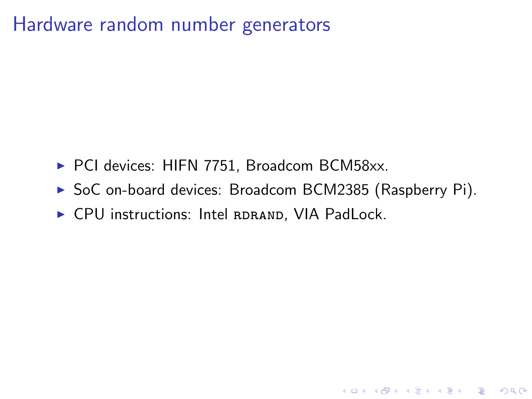#### Hardware random number generators

- ▶ PCI devices: HIFN 7751, Broadcom BCM58xx.
- ▶ SoC on-board devices: Broadcom BCM2385 (Raspberry Pi).

K ロ ▶ K @ ▶ K 할 > K 할 > 1 할 > 1 이익어

 $\triangleright$  CPU instructions: Intel RDRAND, VIA PadLock.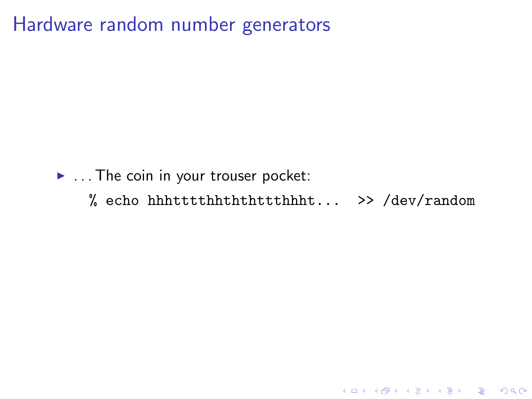Hardware random number generators

- $\blacktriangleright$  ... The coin in your trouser pocket:
	- % echo hhhtttthhththttthhht... >> /dev/random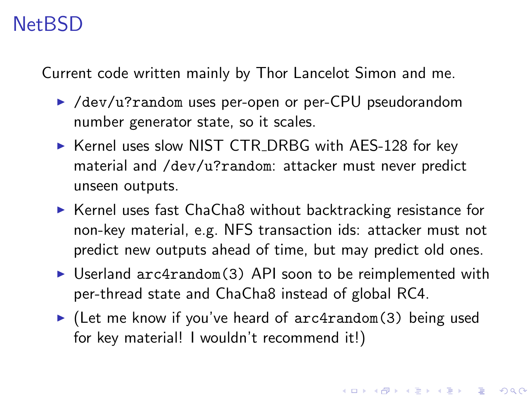## NetBSD

Current code written mainly by Thor Lancelot Simon and me.

- ▶ /dev/u?random uses per-open or per-CPU pseudorandom number generator state, so it scales.
- ▶ Kernel uses slow NIST CTR\_DRBG with AES-128 for key material and /dev/u?random: attacker must never predict unseen outputs.
- $\triangleright$  Kernel uses fast ChaCha8 without backtracking resistance for non-key material, e.g. NFS transaction ids: attacker must not predict new outputs ahead of time, but may predict old ones.
- $\triangleright$  Userland  $arc4$ random(3) API soon to be reimplemented with per-thread state and ChaCha8 instead of global RC4.
- $\blacktriangleright$  (Let me know if you've heard of arc4random(3) being used for key material! I wouldn't recommend it!)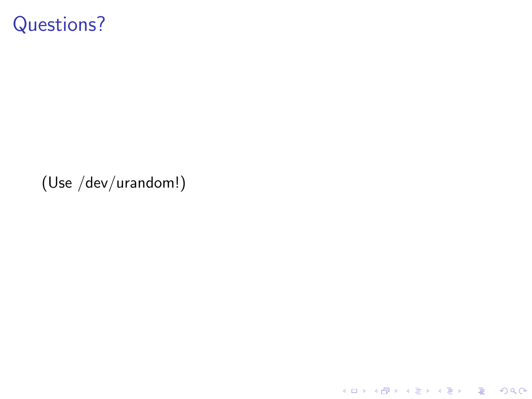#### Questions?

(Use /dev/urandom!)

K ロ X K 메 X K B X X B X X D X O Q Q O